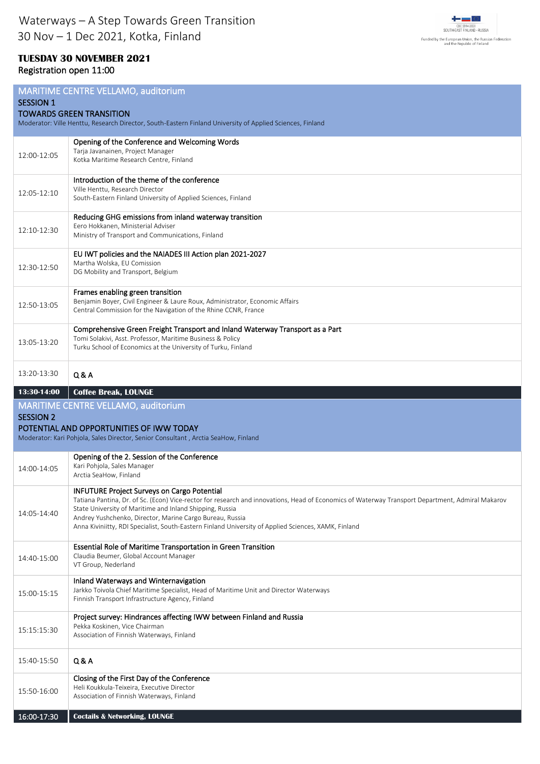

## **TUESDAY 30 NOVEMBER 2021** Registration open 11:00

| MARITIME CENTRE VELLAMO, auditorium<br><b>SESSION 1</b><br><b>TOWARDS GREEN TRANSITION</b><br>Moderator: Ville Henttu, Research Director, South-Eastern Finland University of Applied Sciences, Finland |                                                                                                                                                                                                                                                                                                                                                                                                                                        |
|---------------------------------------------------------------------------------------------------------------------------------------------------------------------------------------------------------|----------------------------------------------------------------------------------------------------------------------------------------------------------------------------------------------------------------------------------------------------------------------------------------------------------------------------------------------------------------------------------------------------------------------------------------|
| 12:00-12:05                                                                                                                                                                                             | Opening of the Conference and Welcoming Words<br>Tarja Javanainen, Project Manager<br>Kotka Maritime Research Centre, Finland                                                                                                                                                                                                                                                                                                          |
| 12:05-12:10                                                                                                                                                                                             | Introduction of the theme of the conference<br>Ville Henttu, Research Director<br>South-Eastern Finland University of Applied Sciences, Finland                                                                                                                                                                                                                                                                                        |
| 12:10-12:30                                                                                                                                                                                             | Reducing GHG emissions from inland waterway transition<br>Eero Hokkanen, Ministerial Adviser<br>Ministry of Transport and Communications, Finland                                                                                                                                                                                                                                                                                      |
| 12:30-12:50                                                                                                                                                                                             | EU IWT policies and the NAIADES III Action plan 2021-2027<br>Martha Wolska, EU Comission<br>DG Mobility and Transport, Belgium                                                                                                                                                                                                                                                                                                         |
| 12:50-13:05                                                                                                                                                                                             | Frames enabling green transition<br>Benjamin Boyer, Civil Engineer & Laure Roux, Administrator, Economic Affairs<br>Central Commission for the Navigation of the Rhine CCNR, France                                                                                                                                                                                                                                                    |
| 13:05-13:20                                                                                                                                                                                             | Comprehensive Green Freight Transport and Inland Waterway Transport as a Part<br>Tomi Solakivi, Asst. Professor, Maritime Business & Policy<br>Turku School of Economics at the University of Turku, Finland                                                                                                                                                                                                                           |
| 13:20-13:30                                                                                                                                                                                             | Q & A                                                                                                                                                                                                                                                                                                                                                                                                                                  |
| MARITIME CENTRE VELLAMO, auditorium<br><b>SESSION 2</b><br>POTENTIAL AND OPPORTUNITIES OF IWW TODAY<br>Moderator: Kari Pohjola, Sales Director, Senior Consultant, Arctia SeaHow, Finland               |                                                                                                                                                                                                                                                                                                                                                                                                                                        |
| 14:00-14:05                                                                                                                                                                                             | Opening of the 2. Session of the Conference<br>Kari Pohjola, Sales Manager<br>Arctia SeaHow, Finland                                                                                                                                                                                                                                                                                                                                   |
| 14:05-14:40                                                                                                                                                                                             | <b>INFUTURE Project Surveys on Cargo Potential</b><br>Tatiana Pantina, Dr. of Sc. (Econ) Vice-rector for research and innovations, Head of Economics of Waterway Transport Department, Admiral Makarov<br>State University of Maritime and Inland Shipping, Russia<br>Andrey Yushchenko, Director, Marine Cargo Bureau, Russia<br>Anna Kiviniitty, RDI Specialist, South-Eastern Finland University of Applied Sciences, XAMK, Finland |
| 14:40-15:00                                                                                                                                                                                             | Essential Role of Maritime Transportation in Green Transition<br>Claudia Beumer, Global Account Manager<br>VT Group, Nederland                                                                                                                                                                                                                                                                                                         |
| 15:00-15:15                                                                                                                                                                                             | Inland Waterways and Winternavigation<br>Jarkko Toivola Chief Maritime Specialist, Head of Maritime Unit and Director Waterways<br>Finnish Transport Infrastructure Agency, Finland                                                                                                                                                                                                                                                    |
| 15:15:15:30                                                                                                                                                                                             | Project survey: Hindrances affecting IWW between Finland and Russia<br>Pekka Koskinen, Vice Chairman<br>Association of Finnish Waterways, Finland                                                                                                                                                                                                                                                                                      |
| 15:40-15:50                                                                                                                                                                                             | Q & A                                                                                                                                                                                                                                                                                                                                                                                                                                  |
| 15:50-16:00                                                                                                                                                                                             | Closing of the First Day of the Conference<br>Heli Koukkula-Teixeira, Executive Director<br>Association of Finnish Waterways, Finland                                                                                                                                                                                                                                                                                                  |
| 16:00-17:30                                                                                                                                                                                             | <b>Coctails &amp; Networking, LOUNGE</b>                                                                                                                                                                                                                                                                                                                                                                                               |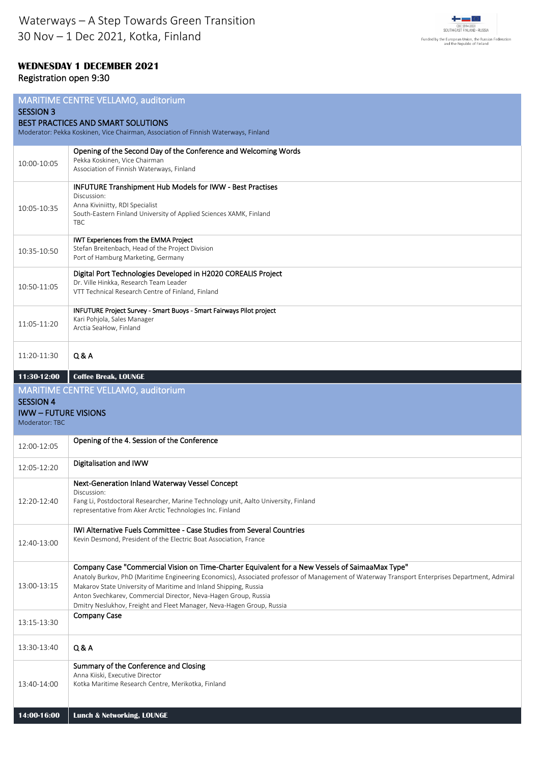

## **WEDNESDAY 1 DECEMBER 2021** Registration open 9:30

| MARITIME CENTRE VELLAMO, auditorium<br><b>SESSION 3</b><br><b>BEST PRACTICES AND SMART SOLUTIONS</b><br>Moderator: Pekka Koskinen, Vice Chairman, Association of Finnish Waterways, Finland |                                                                                                                                                                                                                                                                                                                                                                                                                                                                   |  |
|---------------------------------------------------------------------------------------------------------------------------------------------------------------------------------------------|-------------------------------------------------------------------------------------------------------------------------------------------------------------------------------------------------------------------------------------------------------------------------------------------------------------------------------------------------------------------------------------------------------------------------------------------------------------------|--|
| 10:00-10:05                                                                                                                                                                                 | Opening of the Second Day of the Conference and Welcoming Words<br>Pekka Koskinen, Vice Chairman<br>Association of Finnish Waterways, Finland                                                                                                                                                                                                                                                                                                                     |  |
| 10:05-10:35                                                                                                                                                                                 | <b>INFUTURE Transhipment Hub Models for IWW - Best Practises</b><br>Discussion:<br>Anna Kiviniitty, RDI Specialist<br>South-Eastern Finland University of Applied Sciences XAMK, Finland<br><b>TBC</b>                                                                                                                                                                                                                                                            |  |
| 10:35-10:50                                                                                                                                                                                 | IWT Experiences from the EMMA Project<br>Stefan Breitenbach, Head of the Project Division<br>Port of Hamburg Marketing, Germany                                                                                                                                                                                                                                                                                                                                   |  |
| 10:50-11:05                                                                                                                                                                                 | Digital Port Technologies Developed in H2020 COREALIS Project<br>Dr. Ville Hinkka, Research Team Leader<br>VTT Technical Research Centre of Finland, Finland                                                                                                                                                                                                                                                                                                      |  |
| 11:05-11:20                                                                                                                                                                                 | INFUTURE Project Survey - Smart Buoys - Smart Fairways Pilot project<br>Kari Pohjola, Sales Manager<br>Arctia SeaHow, Finland                                                                                                                                                                                                                                                                                                                                     |  |
| 11:20-11:30                                                                                                                                                                                 | Q & A                                                                                                                                                                                                                                                                                                                                                                                                                                                             |  |
| 11:30-12:00                                                                                                                                                                                 | <b>Coffee Break, LOUNGE</b>                                                                                                                                                                                                                                                                                                                                                                                                                                       |  |
|                                                                                                                                                                                             | MARITIME CENTRE VELLAMO, auditorium                                                                                                                                                                                                                                                                                                                                                                                                                               |  |
| <b>SESSION 4</b>                                                                                                                                                                            |                                                                                                                                                                                                                                                                                                                                                                                                                                                                   |  |
| <b>IWW-FUTURE VISIONS</b><br>Moderator: TBC                                                                                                                                                 |                                                                                                                                                                                                                                                                                                                                                                                                                                                                   |  |
| 12:00-12:05                                                                                                                                                                                 | Opening of the 4. Session of the Conference                                                                                                                                                                                                                                                                                                                                                                                                                       |  |
| 12:05-12:20                                                                                                                                                                                 | Digitalisation and IWW                                                                                                                                                                                                                                                                                                                                                                                                                                            |  |
| 12:20-12:40                                                                                                                                                                                 | Next-Generation Inland Waterway Vessel Concept<br>Discussion:<br>Fang Li, Postdoctoral Researcher, Marine Technology unit, Aalto University, Finland<br>representative from Aker Arctic Technologies Inc. Finland                                                                                                                                                                                                                                                 |  |
| 12:40-13:00                                                                                                                                                                                 | IWI Alternative Fuels Committee - Case Studies from Several Countries<br>Kevin Desmond, President of the Electric Boat Association, France                                                                                                                                                                                                                                                                                                                        |  |
| 13:00-13:15                                                                                                                                                                                 | Company Case "Commercial Vision on Time-Charter Equivalent for a New Vessels of SaimaaMax Type"<br>Anatoly Burkov, PhD (Maritime Engineering Economics), Associated professor of Management of Waterway Transport Enterprises Department, Admiral<br>Makarov State University of Maritime and Inland Shipping, Russia<br>Anton Svechkarev, Commercial Director, Neva-Hagen Group, Russia<br>Dmitry Neslukhov, Freight and Fleet Manager, Neva-Hagen Group, Russia |  |
| 13:15-13:30                                                                                                                                                                                 | <b>Company Case</b>                                                                                                                                                                                                                                                                                                                                                                                                                                               |  |
| 13:30-13:40                                                                                                                                                                                 | Q & A                                                                                                                                                                                                                                                                                                                                                                                                                                                             |  |
| 13:40-14:00                                                                                                                                                                                 | Summary of the Conference and Closing<br>Anna Kiiski, Executive Director<br>Kotka Maritime Research Centre, Merikotka, Finland                                                                                                                                                                                                                                                                                                                                    |  |
| 14:00-16:00                                                                                                                                                                                 | <b>Lunch &amp; Networking, LOUNGE</b>                                                                                                                                                                                                                                                                                                                                                                                                                             |  |